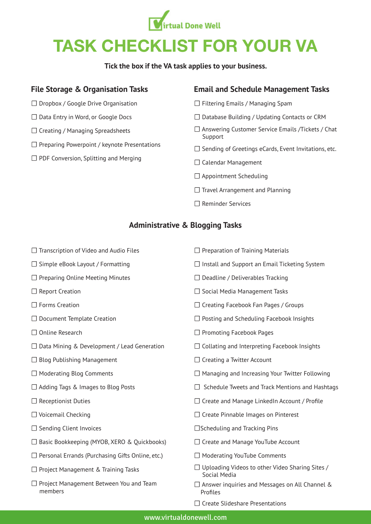

# TASK CHECKLIST FOR YOUR VA

**Tick the box if the VA task applies to your business.**

# **File Storage & Organisation Tasks**

- ☐ Dropbox / Google Drive Organisation
- ☐ Data Entry in Word, or Google Docs
- ☐ Creating / Managing Spreadsheets
- ☐ Preparing Powerpoint / keynote Presentations
- ☐ PDF Conversion, Splitting and Merging

### **Email and Schedule Management Tasks**

- ☐ Filtering Emails / Managing Spam
- ☐ Database Building / Updating Contacts or CRM
- ☐ Answering Customer Service Emails /Tickets / Chat Support
- □ Sending of Greetings eCards, Event Invitations, etc.
- □ Calendar Management
- ☐ Appointment Scheduling
- ☐ Travel Arrangement and Planning
- ☐ Reminder Services

# **Administrative & Blogging Tasks**

- ☐ Transcription of Video and Audio Files
- ☐ Simple eBook Layout / Formatting
- □ Preparing Online Meeting Minutes
- ☐ Report Creation
- ☐ Forms Creation
- ☐ Document Template Creation
- ☐ Online Research
- ☐ Data Mining & Development / Lead Generation
- ☐ Blog Publishing Management
- ☐ Moderating Blog Comments
- ☐ Adding Tags & Images to Blog Posts
- ☐ Receptionist Duties
- ☐ Voicemail Checking
- □ Sending Client Invoices
- ☐ Basic Bookkeeping (MYOB, XERO & Quickbooks)
- ☐ Personal Errands (Purchasing Gifts Online, etc.)
- ☐ Project Management & Training Tasks
- ☐ Project Management Between You and Team members
- ☐ Install and Support an Email Ticketing System
- ☐ Deadline / Deliverables Tracking

☐ Preparation of Training Materials

- ☐ Social Media Management Tasks
- ☐ Creating Facebook Fan Pages / Groups
- ☐ Posting and Scheduling Facebook Insights
- ☐ Promoting Facebook Pages
- ☐ Collating and Interpreting Facebook Insights
- □ Creating a Twitter Account
- ☐ Managing and Increasing Your Twitter Following
- ☐ Schedule Tweets and Track Mentions and Hashtags
- $\Box$  Create and Manage LinkedIn Account / Profile
- □ Create Pinnable Images on Pinterest
- ☐Scheduling and Tracking Pins
- □ Create and Manage YouTube Account
- ☐ Moderating YouTube Comments
- $\Box$  Uploading Videos to other Video Sharing Sites / Social Media
- ☐ Answer inquiries and Messages on All Channel & Profiles
- ☐ Create Slideshare Presentations